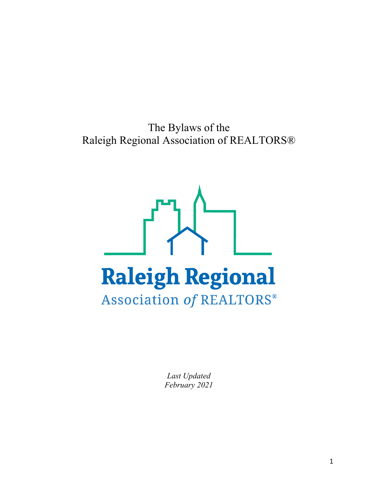The Bylaws of the Raleigh Regional Association of REALTORS®



*Last Updated February 2021*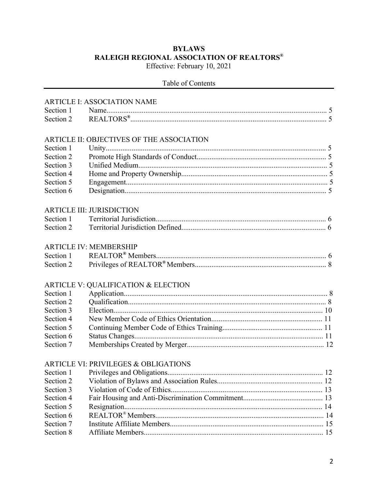# **BYLAWS** RALEIGH REGIONAL ASSOCIATION OF REALTORS®

Effective: February 10, 2021

|  | Table of Contents |
|--|-------------------|
|--|-------------------|

|           | <b>ARTICLE I: ASSOCIATION NAME</b>             |
|-----------|------------------------------------------------|
| Section 1 |                                                |
| Section 2 |                                                |
|           | ARTICLE II: OBJECTIVES OF THE ASSOCIATION      |
| Section 1 |                                                |
| Section 2 |                                                |
| Section 3 |                                                |
| Section 4 |                                                |
| Section 5 |                                                |
| Section 6 |                                                |
|           | <b>ARTICLE III: JURISDICTION</b>               |
| Section 1 |                                                |
| Section 2 |                                                |
|           | <b>ARTICLE IV: MEMBERSHIP</b>                  |
| Section 1 |                                                |
| Section 2 |                                                |
|           | <b>ARTICLE V: QUALIFICATION &amp; ELECTION</b> |
| Section 1 |                                                |
| Section 2 |                                                |
| Section 3 |                                                |
| Section 4 |                                                |
| Section 5 |                                                |
| Section 6 |                                                |
| Section 7 |                                                |
|           |                                                |
|           | ARTICLE VI: PRIVILEGES & OBLIGATIONS           |
| Section 1 |                                                |
| Section 2 |                                                |
| Section 3 |                                                |
| Section 4 |                                                |
| Section 5 |                                                |
| Section 6 |                                                |
| Section 7 |                                                |
| Section 8 |                                                |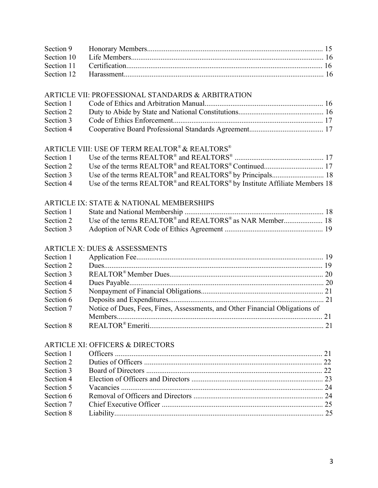| ARTICLE VII: PROFESSIONAL STANDARDS & ARBITRATION |  |
|---------------------------------------------------|--|
|                                                   |  |
|                                                   |  |

| $\cup$ $\cup$ $\cup$ $\cup$ |  |
|-----------------------------|--|
|                             |  |
|                             |  |

# ARTICLE VIII: USE OF TERM REALTOR® & REALTORS®

| Section 1 |                                                                           |
|-----------|---------------------------------------------------------------------------|
| Section 2 |                                                                           |
| Section 3 |                                                                           |
| Section 4 | Use of the terms REALTOR® and REALTORS® by Institute Affiliate Members 18 |

## ARTICLE IX: STATE & NATIONAL MEMBERSHIPS

# ARTICLE X: DUES & ASSESSMENTS

| Section 1 |                                                                              |  |
|-----------|------------------------------------------------------------------------------|--|
| Section 2 |                                                                              |  |
| Section 3 |                                                                              |  |
| Section 4 |                                                                              |  |
| Section 5 |                                                                              |  |
| Section 6 |                                                                              |  |
| Section 7 | Notice of Dues, Fees, Fines, Assessments, and Other Financial Obligations of |  |
|           |                                                                              |  |
| Section 8 |                                                                              |  |

## ARTICLE XI: OFFICERS & DIRECTORS

| Section 2 |  |
|-----------|--|
| Section 3 |  |
| Section 4 |  |
|           |  |
| Section 6 |  |
|           |  |
|           |  |
|           |  |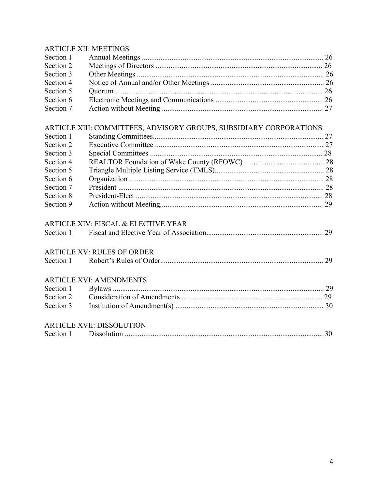## **ARTICLE XII: MEETINGS**

| Section 1 |                                                                    |  |
|-----------|--------------------------------------------------------------------|--|
| Section 2 |                                                                    |  |
| Section 3 |                                                                    |  |
| Section 4 |                                                                    |  |
| Section 5 |                                                                    |  |
| Section 6 |                                                                    |  |
| Section 7 |                                                                    |  |
|           | ARTICLE XIII: COMMITTEES, ADVISORY GROUPS, SUBSIDIARY CORPORATIONS |  |
| Section 1 |                                                                    |  |
| Section 2 |                                                                    |  |
| Section 3 |                                                                    |  |
| Section 4 |                                                                    |  |
| Section 5 |                                                                    |  |
| Section 6 |                                                                    |  |
| Section 7 |                                                                    |  |
| Section 8 |                                                                    |  |
| Section 9 |                                                                    |  |
|           | <b>ARTICLE XIV: FISCAL &amp; ELECTIVE YEAR</b>                     |  |
| Section 1 |                                                                    |  |
|           | <b>ARTICLE XV: RULES OF ORDER</b>                                  |  |
| Section 1 |                                                                    |  |
|           | <b>ARTICLE XVI: AMENDMENTS</b>                                     |  |
| Section 1 |                                                                    |  |
| Section 2 |                                                                    |  |
| Section 3 |                                                                    |  |
|           | <b>ARTICLE XVII: DISSOLUTION</b>                                   |  |
|           |                                                                    |  |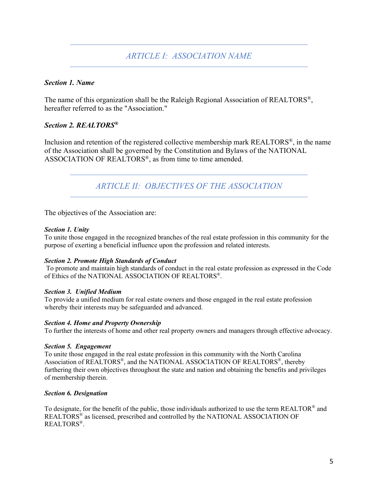# *ARTICLE I: ASSOCIATION NAME*

#### *Section 1. Name*

The name of this organization shall be the Raleigh Regional Association of REALTORS®, hereafter referred to as the "Association."

#### *Section 2. REALTORS®*

Inclusion and retention of the registered collective membership mark REALTORS®, in the name of the Association shall be governed by the Constitution and Bylaws of the NATIONAL ASSOCIATION OF REALTORS®, as from time to time amended.

*ARTICLE II: OBJECTIVES OF THE ASSOCIATION*

The objectives of the Association are:

#### *Section 1. Unity*

To unite those engaged in the recognized branches of the real estate profession in this community for the purpose of exerting a beneficial influence upon the profession and related interests.

#### *Section 2. Promote High Standards of Conduct*

To promote and maintain high standards of conduct in the real estate profession as expressed in the Code of Ethics of the NATIONAL ASSOCIATION OF REALTORS®.

#### *Section 3. Unified Medium*

To provide a unified medium for real estate owners and those engaged in the real estate profession whereby their interests may be safeguarded and advanced.

#### *Section 4. Home and Property Ownership*

To further the interests of home and other real property owners and managers through effective advocacy.

#### *Section 5. Engagement*

To unite those engaged in the real estate profession in this community with the North Carolina Association of REALTORS®, and the NATIONAL ASSOCIATION OF REALTORS®, thereby furthering their own objectives throughout the state and nation and obtaining the benefits and privileges of membership therein.

#### *Section 6. Designation*

To designate, for the benefit of the public, those individuals authorized to use the term REALTOR® and REALTORS® as licensed, prescribed and controlled by the NATIONAL ASSOCIATION OF REALTORS®.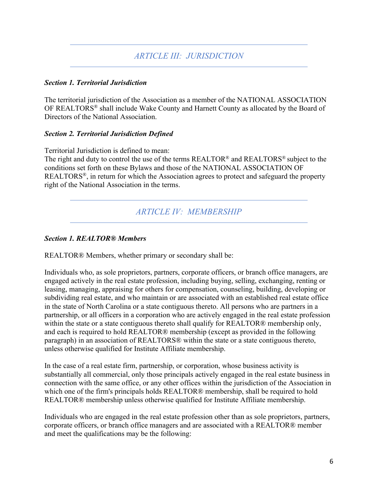# *ARTICLE III: JURISDICTION*

#### *Section 1. Territorial Jurisdiction*

The territorial jurisdiction of the Association as a member of the NATIONAL ASSOCIATION OF REALTORS® shall include Wake County and Harnett County as allocated by the Board of Directors of the National Association.

#### *Section 2. Territorial Jurisdiction Defined*

Territorial Jurisdiction is defined to mean:

The right and duty to control the use of the terms REALTOR® and REALTORS® subject to the conditions set forth on these Bylaws and those of the NATIONAL ASSOCIATION OF REALTORS®, in return for which the Association agrees to protect and safeguard the property right of the National Association in the terms.

# *ARTICLE IV: MEMBERSHIP*

#### *Section 1. REALTOR® Members*

REALTOR® Members, whether primary or secondary shall be:

Individuals who, as sole proprietors, partners, corporate officers, or branch office managers, are engaged actively in the real estate profession, including buying, selling, exchanging, renting or leasing, managing, appraising for others for compensation, counseling, building, developing or subdividing real estate, and who maintain or are associated with an established real estate office in the state of North Carolina or a state contiguous thereto. All persons who are partners in a partnership, or all officers in a corporation who are actively engaged in the real estate profession within the state or a state contiguous thereto shall qualify for REALTOR® membership only, and each is required to hold REALTOR® membership (except as provided in the following paragraph) in an association of REALTORS® within the state or a state contiguous thereto, unless otherwise qualified for Institute Affiliate membership.

In the case of a real estate firm, partnership, or corporation, whose business activity is substantially all commercial, only those principals actively engaged in the real estate business in connection with the same office, or any other offices within the jurisdiction of the Association in which one of the firm's principals holds REALTOR® membership, shall be required to hold REALTOR® membership unless otherwise qualified for Institute Affiliate membership.

Individuals who are engaged in the real estate profession other than as sole proprietors, partners, corporate officers, or branch office managers and are associated with a REALTOR® member and meet the qualifications may be the following: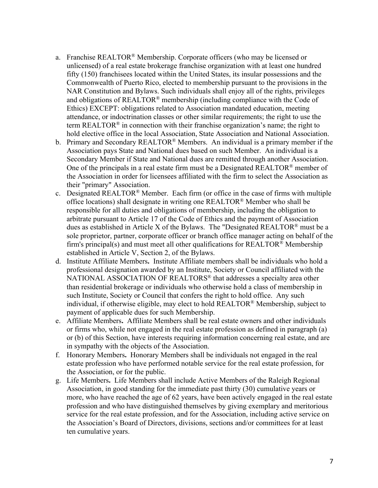- a. Franchise REALTOR® Membership. Corporate officers (who may be licensed or unlicensed) of a real estate brokerage franchise organization with at least one hundred fifty (150) franchisees located within the United States, its insular possessions and the Commonwealth of Puerto Rico, elected to membership pursuant to the provisions in the NAR Constitution and Bylaws. Such individuals shall enjoy all of the rights, privileges and obligations of REALTOR<sup>®</sup> membership (including compliance with the Code of Ethics) EXCEPT: obligations related to Association mandated education, meeting attendance, or indoctrination classes or other similar requirements; the right to use the term REALTOR<sup>®</sup> in connection with their franchise organization's name; the right to hold elective office in the local Association, State Association and National Association.
- b. Primary and Secondary REALTOR<sup>®</sup> Members. An individual is a primary member if the Association pays State and National dues based on such Member. An individual is a Secondary Member if State and National dues are remitted through another Association. One of the principals in a real estate firm must be a Designated REALTOR<sup>®</sup> member of the Association in order for licensees affiliated with the firm to select the Association as their "primary" Association.
- c. Designated REALTOR® Member. Each firm (or office in the case of firms with multiple office locations) shall designate in writing one REALTOR® Member who shall be responsible for all duties and obligations of membership, including the obligation to arbitrate pursuant to Article 17 of the Code of Ethics and the payment of Association dues as established in Article X of the Bylaws. The "Designated REALTOR<sup>®</sup> must be a sole proprietor, partner, corporate officer or branch office manager acting on behalf of the firm's principal(s) and must meet all other qualifications for  $REALTOR^<sup>®</sup>$  Membership established in Article V, Section 2, of the Bylaws.
- d. Institute Affiliate Members**.** Institute Affiliate members shall be individuals who hold a professional designation awarded by an Institute, Society or Council affiliated with the NATIONAL ASSOCIATION OF REALTORS® that addresses a specialty area other than residential brokerage or individuals who otherwise hold a class of membership in such Institute, Society or Council that confers the right to hold office. Any such individual, if otherwise eligible, may elect to hold REALTOR® Membership, subject to payment of applicable dues for such Membership.
- e. Affiliate Members**.** Affiliate Members shall be real estate owners and other individuals or firms who, while not engaged in the real estate profession as defined in paragraph (a) or (b) of this Section, have interests requiring information concerning real estate, and are in sympathy with the objects of the Association.
- f. Honorary Members**.** Honorary Members shall be individuals not engaged in the real estate profession who have performed notable service for the real estate profession, for the Association, or for the public.
- g. Life Members**.** Life Members shall include Active Members of the Raleigh Regional Association, in good standing for the immediate past thirty (30) cumulative years or more, who have reached the age of 62 years, have been actively engaged in the real estate profession and who have distinguished themselves by giving exemplary and meritorious service for the real estate profession, and for the Association, including active service on the Association's Board of Directors, divisions, sections and/or committees for at least ten cumulative years.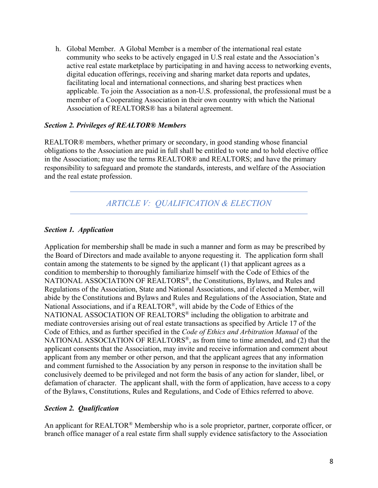h. Global Member. A Global Member is a member of the international real estate community who seeks to be actively engaged in U.S real estate and the Association's active real estate marketplace by participating in and having access to networking events, digital education offerings, receiving and sharing market data reports and updates, facilitating local and international connections, and sharing best practices when applicable. To join the Association as a non-U.S. professional, the professional must be a member of a Cooperating Association in their own country with which the National Association of REALTORS® has a bilateral agreement.

#### *Section 2. Privileges of REALTOR® Members*

REALTOR® members, whether primary or secondary, in good standing whose financial obligations to the Association are paid in full shall be entitled to vote and to hold elective office in the Association; may use the terms REALTOR® and REALTORS; and have the primary responsibility to safeguard and promote the standards, interests, and welfare of the Association and the real estate profession.

*ARTICLE V: QUALIFICATION & ELECTION*

#### *Section 1. Application*

Application for membership shall be made in such a manner and form as may be prescribed by the Board of Directors and made available to anyone requesting it. The application form shall contain among the statements to be signed by the applicant (1) that applicant agrees as a condition to membership to thoroughly familiarize himself with the Code of Ethics of the NATIONAL ASSOCIATION OF REALTORS®, the Constitutions, Bylaws, and Rules and Regulations of the Association, State and National Associations, and if elected a Member, will abide by the Constitutions and Bylaws and Rules and Regulations of the Association, State and National Associations, and if a REALTOR®, will abide by the Code of Ethics of the NATIONAL ASSOCIATION OF REALTORS<sup>®</sup> including the obligation to arbitrate and mediate controversies arising out of real estate transactions as specified by Article 17 of the Code of Ethics, and as further specified in the *Code of Ethics and Arbitration Manual* of the NATIONAL ASSOCIATION OF REALTORS<sup>®</sup>, as from time to time amended, and (2) that the applicant consents that the Association, may invite and receive information and comment about applicant from any member or other person, and that the applicant agrees that any information and comment furnished to the Association by any person in response to the invitation shall be conclusively deemed to be privileged and not form the basis of any action for slander, libel, or defamation of character. The applicant shall, with the form of application, have access to a copy of the Bylaws, Constitutions, Rules and Regulations, and Code of Ethics referred to above.

#### *Section 2. Qualification*

An applicant for REALTOR<sup>®</sup> Membership who is a sole proprietor, partner, corporate officer, or branch office manager of a real estate firm shall supply evidence satisfactory to the Association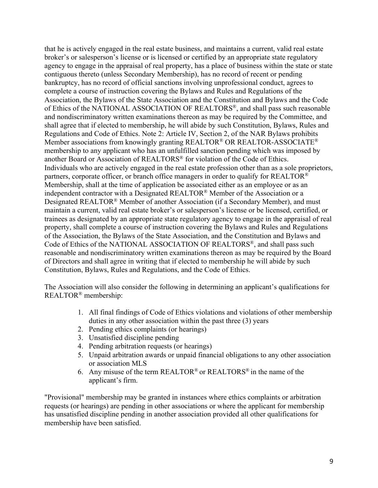that he is actively engaged in the real estate business, and maintains a current, valid real estate broker's or salesperson's license or is licensed or certified by an appropriate state regulatory agency to engage in the appraisal of real property, has a place of business within the state or state contiguous thereto (unless Secondary Membership), has no record of recent or pending bankruptcy, has no record of official sanctions involving unprofessional conduct, agrees to complete a course of instruction covering the Bylaws and Rules and Regulations of the Association, the Bylaws of the State Association and the Constitution and Bylaws and the Code of Ethics of the NATIONAL ASSOCIATION OF REALTORS®, and shall pass such reasonable and nondiscriminatory written examinations thereon as may be required by the Committee, and shall agree that if elected to membership, he will abide by such Constitution, Bylaws, Rules and Regulations and Code of Ethics. Note 2: Article IV, Section 2, of the NAR Bylaws prohibits Member associations from knowingly granting REALTOR® OR REALTOR-ASSOCIATE® membership to any applicant who has an unfulfilled sanction pending which was imposed by another Board or Association of REALTORS® for violation of the Code of Ethics. Individuals who are actively engaged in the real estate profession other than as a sole proprietors, partners, corporate officer, or branch office managers in order to qualify for REALTOR<sup>®</sup> Membership, shall at the time of application be associated either as an employee or as an independent contractor with a Designated REALTOR® Member of the Association or a Designated REALTOR® Member of another Association (if a Secondary Member), and must maintain a current, valid real estate broker's or salesperson's license or be licensed, certified, or trainees as designated by an appropriate state regulatory agency to engage in the appraisal of real property, shall complete a course of instruction covering the Bylaws and Rules and Regulations of the Association, the Bylaws of the State Association, and the Constitution and Bylaws and Code of Ethics of the NATIONAL ASSOCIATION OF REALTORS®, and shall pass such reasonable and nondiscriminatory written examinations thereon as may be required by the Board of Directors and shall agree in writing that if elected to membership he will abide by such Constitution, Bylaws, Rules and Regulations, and the Code of Ethics.

The Association will also consider the following in determining an applicant's qualifications for REALTOR® membership:

- 1. All final findings of Code of Ethics violations and violations of other membership duties in any other association within the past three (3) years
- 2. Pending ethics complaints (or hearings)
- 3. Unsatisfied discipline pending
- 4. Pending arbitration requests (or hearings)
- 5. Unpaid arbitration awards or unpaid financial obligations to any other association or association MLS
- 6. Any misuse of the term REALTOR<sup>®</sup> or REALTORS<sup>®</sup> in the name of the applicant's firm.

"Provisional" membership may be granted in instances where ethics complaints or arbitration requests (or hearings) are pending in other associations or where the applicant for membership has unsatisfied discipline pending in another association provided all other qualifications for membership have been satisfied.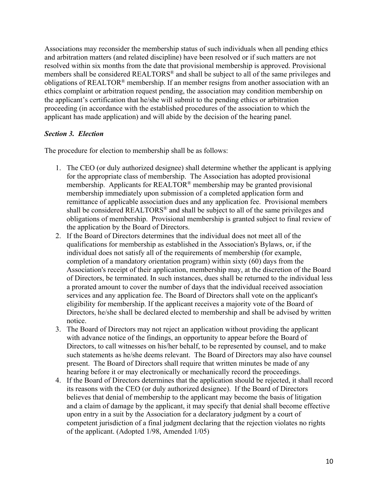Associations may reconsider the membership status of such individuals when all pending ethics and arbitration matters (and related discipline) have been resolved or if such matters are not resolved within six months from the date that provisional membership is approved. Provisional members shall be considered REALTORS® and shall be subject to all of the same privileges and obligations of REALTOR® membership. If an member resigns from another association with an ethics complaint or arbitration request pending, the association may condition membership on the applicant's certification that he/she will submit to the pending ethics or arbitration proceeding (in accordance with the established procedures of the association to which the applicant has made application) and will abide by the decision of the hearing panel.

#### *Section 3. Election*

The procedure for election to membership shall be as follows:

- 1. The CEO (or duly authorized designee) shall determine whether the applicant is applying for the appropriate class of membership. The Association has adopted provisional membership. Applicants for REALTOR® membership may be granted provisional membership immediately upon submission of a completed application form and remittance of applicable association dues and any application fee. Provisional members shall be considered REALTORS<sup>®</sup> and shall be subject to all of the same privileges and obligations of membership. Provisional membership is granted subject to final review of the application by the Board of Directors.
- 2. If the Board of Directors determines that the individual does not meet all of the qualifications for membership as established in the Association's Bylaws, or, if the individual does not satisfy all of the requirements of membership (for example, completion of a mandatory orientation program) within sixty (60) days from the Association's receipt of their application, membership may, at the discretion of the Board of Directors, be terminated. In such instances, dues shall be returned to the individual less a prorated amount to cover the number of days that the individual received association services and any application fee. The Board of Directors shall vote on the applicant's eligibility for membership. If the applicant receives a majority vote of the Board of Directors, he/she shall be declared elected to membership and shall be advised by written notice.
- 3. The Board of Directors may not reject an application without providing the applicant with advance notice of the findings, an opportunity to appear before the Board of Directors, to call witnesses on his/her behalf, to be represented by counsel, and to make such statements as he/she deems relevant. The Board of Directors may also have counsel present. The Board of Directors shall require that written minutes be made of any hearing before it or may electronically or mechanically record the proceedings.
- 4. If the Board of Directors determines that the application should be rejected, it shall record its reasons with the CEO (or duly authorized designee). If the Board of Directors believes that denial of membership to the applicant may become the basis of litigation and a claim of damage by the applicant, it may specify that denial shall become effective upon entry in a suit by the Association for a declaratory judgment by a court of competent jurisdiction of a final judgment declaring that the rejection violates no rights of the applicant. (Adopted 1/98, Amended 1/05)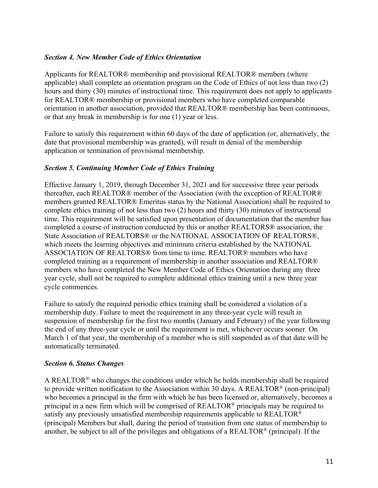### *Section 4. New Member Code of Ethics Orientation*

Applicants for REALTOR® membership and provisional REALTOR® members (where applicable) shall complete an orientation program on the Code of Ethics of not less than two (2) hours and thirty (30) minutes of instructional time. This requirement does not apply to applicants for REALTOR® membership or provisional members who have completed comparable orientation in another association, provided that REALTOR® membership has been continuous, or that any break in membership is for one (1) year or less.

Failure to satisfy this requirement within 60 days of the date of application (or, alternatively, the date that provisional membership was granted), will result in denial of the membership application or termination of provisional membership.

## *Section 5. Continuing Member Code of Ethics Training*

Effective January 1, 2019, through December 31, 2021 and for successive three year periods thereafter, each REALTOR® member of the Association (with the exception of REALTOR® members granted REALTOR® Emeritus status by the National Association) shall be required to complete ethics training of not less than two (2) hours and thirty (30) minutes of instructional time. This requirement will be satisfied upon presentation of documentation that the member has completed a course of instruction conducted by this or another REALTORS® association, the State Association of REALTORS® or the NATIONAL ASSOCIATION OF REALTORS®, which meets the learning objectives and minimum criteria established by the NATIONAL ASSOCIATION OF REALTORS® from time to time. REALTOR® members who have completed training as a requirement of membership in another association and REALTOR® members who have completed the New Member Code of Ethics Orientation during any three year cycle, shall not be required to complete additional ethics training until a new three year cycle commences.

Failure to satisfy the required periodic ethics training shall be considered a violation of a membership duty. Failure to meet the requirement in any three-year cycle will result in suspension of membership for the first two months (January and February) of the year following the end of any three-year cycle or until the requirement is met, whichever occurs sooner. On March 1 of that year, the membership of a member who is still suspended as of that date will be automatically terminated.

### *Section 6. Status Changes*

A REALTOR<sup>®</sup> who changes the conditions under which he holds membership shall be required to provide written notification to the Association within 30 days. A REALTOR® (non-principal) who becomes a principal in the firm with which he has been licensed or, alternatively, becomes a principal in a new firm which will be comprised of REALTOR® principals may be required to satisfy any previously unsatisfied membership requirements applicable to REALTOR® (principal) Members but shall, during the period of transition from one status of membership to another, be subject to all of the privileges and obligations of a REALTOR® (principal). If the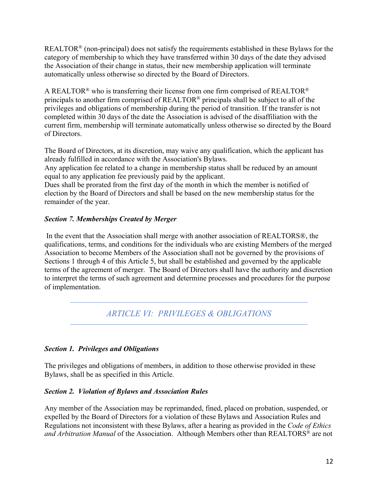REALTOR® (non-principal) does not satisfy the requirements established in these Bylaws for the category of membership to which they have transferred within 30 days of the date they advised the Association of their change in status, their new membership application will terminate automatically unless otherwise so directed by the Board of Directors.

A REALTOR® who is transferring their license from one firm comprised of REALTOR® principals to another firm comprised of REALTOR® principals shall be subject to all of the privileges and obligations of membership during the period of transition. If the transfer is not completed within 30 days of the date the Association is advised of the disaffiliation with the current firm, membership will terminate automatically unless otherwise so directed by the Board of Directors.

The Board of Directors, at its discretion, may waive any qualification, which the applicant has already fulfilled in accordance with the Association's Bylaws.

Any application fee related to a change in membership status shall be reduced by an amount equal to any application fee previously paid by the applicant.

Dues shall be prorated from the first day of the month in which the member is notified of election by the Board of Directors and shall be based on the new membership status for the remainder of the year.

## *Section 7. Memberships Created by Merger*

In the event that the Association shall merge with another association of REALTORS®, the qualifications, terms, and conditions for the individuals who are existing Members of the merged Association to become Members of the Association shall not be governed by the provisions of Sections 1 through 4 of this Article 5, but shall be established and governed by the applicable terms of the agreement of merger. The Board of Directors shall have the authority and discretion to interpret the terms of such agreement and determine processes and procedures for the purpose of implementation.

# *ARTICLE VI: PRIVILEGES & OBLIGATIONS*

## *Section 1. Privileges and Obligations*

The privileges and obligations of members, in addition to those otherwise provided in these Bylaws, shall be as specified in this Article.

## *Section 2.**Violation of Bylaws and Association Rules*

Any member of the Association may be reprimanded, fined, placed on probation, suspended, or expelled by the Board of Directors for a violation of these Bylaws and Association Rules and Regulations not inconsistent with these Bylaws, after a hearing as provided in the *Code of Ethics and Arbitration Manual* of the Association. Although Members other than REALTORS® are not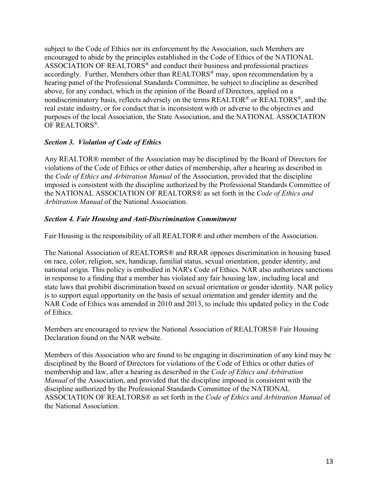subject to the Code of Ethics nor its enforcement by the Association, such Members are encouraged to abide by the principles established in the Code of Ethics of the NATIONAL ASSOCIATION OF REALTORS® and conduct their business and professional practices accordingly. Further, Members other than REALTORS® may, upon recommendation by a hearing panel of the Professional Standards Committee, be subject to discipline as described above, for any conduct, which in the opinion of the Board of Directors, applied on a nondiscriminatory basis, reflects adversely on the terms REALTOR® or REALTORS®, and the real estate industry, or for conduct that is inconsistent with or adverse to the objectives and purposes of the local Association, the State Association, and the NATIONAL ASSOCIATION OF REALTORS®.

## *Section 3. Violation of Code of Ethics*

Any REALTOR® member of the Association may be disciplined by the Board of Directors for violations of the Code of Ethics or other duties of membership, after a hearing as described in the *Code of Ethics and Arbitration Manual* of the Association, provided that the discipline imposed is consistent with the discipline authorized by the Professional Standards Committee of the NATIONAL ASSOCIATION OF REALTORS® as set forth in the *Code of Ethics and Arbitration Manual* of the National Association.

## *Section 4. Fair Housing and Anti-Discrimination Commitment*

Fair Housing is the responsibility of all REALTOR® and other members of the Association.

The National Association of REALTORS® and RRAR opposes discrimination in housing based on race, color, religion, sex, handicap, familial status, sexual orientation, gender identity, and national origin. This policy is embodied in NAR's Code of Ethics. NAR also authorizes sanctions in response to a finding that a member has violated any fair housing law, including local and state laws that prohibit discrimination based on sexual orientation or gender identity. NAR policy is to support equal opportunity on the basis of sexual orientation and gender identity and the NAR Code of Ethics was amended in 2010 and 2013, to include this updated policy in the Code of Ethics.

Members are encouraged to review the National Association of REALTORS® Fair Housing Declaration found on the NAR website.

Members of this Association who are found to be engaging in discrimination of any kind may be disciplined by the Board of Directors for violations of the Code of Ethics or other duties of membership and law, after a hearing as described in the *Code of Ethics and Arbitration Manual* of the Association, and provided that the discipline imposed is consistent with the discipline authorized by the Professional Standards Committee of the NATIONAL ASSOCIATION OF REALTORS® as set forth in the *Code of Ethics and Arbitration Manual* of the National Association.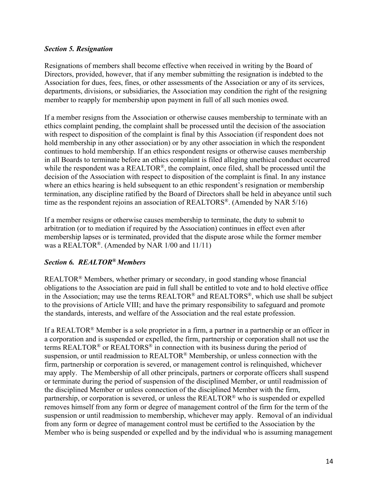### *Section 5. Resignation*

Resignations of members shall become effective when received in writing by the Board of Directors, provided, however, that if any member submitting the resignation is indebted to the Association for dues, fees, fines, or other assessments of the Association or any of its services, departments, divisions, or subsidiaries, the Association may condition the right of the resigning member to reapply for membership upon payment in full of all such monies owed.

If a member resigns from the Association or otherwise causes membership to terminate with an ethics complaint pending, the complaint shall be processed until the decision of the association with respect to disposition of the complaint is final by this Association (if respondent does not hold membership in any other association) or by any other association in which the respondent continues to hold membership. If an ethics respondent resigns or otherwise causes membership in all Boards to terminate before an ethics complaint is filed alleging unethical conduct occurred while the respondent was a REALTOR<sup>®</sup>, the complaint, once filed, shall be processed until the decision of the Association with respect to disposition of the complaint is final. In any instance where an ethics hearing is held subsequent to an ethic respondent's resignation or membership termination, any discipline ratified by the Board of Directors shall be held in abeyance until such time as the respondent rejoins an association of REALTORS®. (Amended by NAR 5/16)

If a member resigns or otherwise causes membership to terminate, the duty to submit to arbitration (or to mediation if required by the Association) continues in effect even after membership lapses or is terminated, provided that the dispute arose while the former member was a REALTOR®. (Amended by NAR 1/00 and 11/11)

## *Section 6. REALTOR® Members*

REALTOR® Members, whether primary or secondary, in good standing whose financial obligations to the Association are paid in full shall be entitled to vote and to hold elective office in the Association; may use the terms REALTOR® and REALTORS®, which use shall be subject to the provisions of Article VIII; and have the primary responsibility to safeguard and promote the standards, interests, and welfare of the Association and the real estate profession.

If a REALTOR® Member is a sole proprietor in a firm, a partner in a partnership or an officer in a corporation and is suspended or expelled, the firm, partnership or corporation shall not use the terms REALTOR<sup>®</sup> or REALTORS<sup>®</sup> in connection with its business during the period of suspension, or until readmission to REALTOR® Membership, or unless connection with the firm, partnership or corporation is severed, or management control is relinquished, whichever may apply. The Membership of all other principals, partners or corporate officers shall suspend or terminate during the period of suspension of the disciplined Member, or until readmission of the disciplined Member or unless connection of the disciplined Member with the firm, partnership, or corporation is severed, or unless the REALTOR® who is suspended or expelled removes himself from any form or degree of management control of the firm for the term of the suspension or until readmission to membership, whichever may apply. Removal of an individual from any form or degree of management control must be certified to the Association by the Member who is being suspended or expelled and by the individual who is assuming management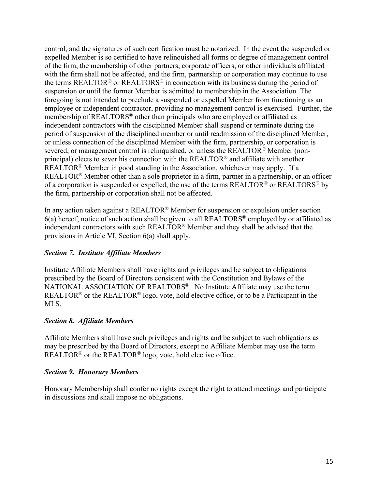control, and the signatures of such certification must be notarized. In the event the suspended or expelled Member is so certified to have relinquished all forms or degree of management control of the firm, the membership of other partners, corporate officers, or other individuals affiliated with the firm shall not be affected, and the firm, partnership or corporation may continue to use the terms REALTOR® or REALTORS® in connection with its business during the period of suspension or until the former Member is admitted to membership in the Association. The foregoing is not intended to preclude a suspended or expelled Member from functioning as an employee or independent contractor, providing no management control is exercised. Further, the membership of REALTORS® other than principals who are employed or affiliated as independent contractors with the disciplined Member shall suspend or terminate during the period of suspension of the disciplined member or until readmission of the disciplined Member, or unless connection of the disciplined Member with the firm, partnership, or corporation is severed, or management control is relinquished, or unless the REALTOR® Member (nonprincipal) elects to sever his connection with the REALTOR® and affiliate with another REALTOR® Member in good standing in the Association, whichever may apply. If a REALTOR<sup>®</sup> Member other than a sole proprietor in a firm, partner in a partnership, or an officer of a corporation is suspended or expelled, the use of the terms REALTOR<sup>®</sup> or REALTORS<sup>®</sup> by the firm, partnership or corporation shall not be affected.

In any action taken against a REALTOR® Member for suspension or expulsion under section 6(a) hereof, notice of such action shall be given to all REALTORS® employed by or affiliated as independent contractors with such REALTOR® Member and they shall be advised that the provisions in Article VI, Section 6(a) shall apply.

### *Section 7. Institute Affiliate Members*

Institute Affiliate Members shall have rights and privileges and be subject to obligations prescribed by the Board of Directors consistent with the Constitution and Bylaws of the NATIONAL ASSOCIATION OF REALTORS®. No Institute Affiliate may use the term REALTOR<sup>®</sup> or the REALTOR<sup>®</sup> logo, vote, hold elective office, or to be a Participant in the MLS.

### *Section 8.**Affiliate Members*

Affiliate Members shall have such privileges and rights and be subject to such obligations as may be prescribed by the Board of Directors, except no Affiliate Member may use the term REALTOR® or the REALTOR® logo, vote, hold elective office.

### *Section 9. Honorary Members*

Honorary Membership shall confer no rights except the right to attend meetings and participate in discussions and shall impose no obligations.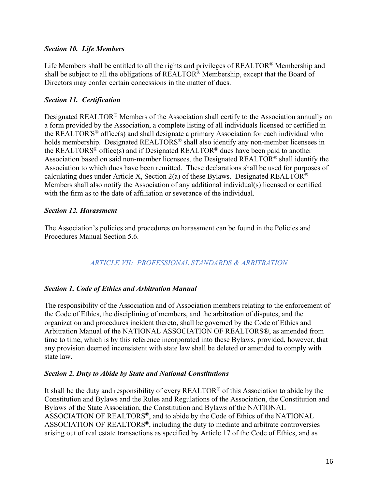### *Section 10. Life Members*

Life Members shall be entitled to all the rights and privileges of REALTOR® Membership and shall be subject to all the obligations of REALTOR® Membership, except that the Board of Directors may confer certain concessions in the matter of dues.

#### *Section 11. Certification*

Designated REALTOR® Members of the Association shall certify to the Association annually on a form provided by the Association, a complete listing of all individuals licensed or certified in the REALTOR'S® office(s) and shall designate a primary Association for each individual who holds membership. Designated REALTORS<sup>®</sup> shall also identify any non-member licensees in the REALTORS® office(s) and if Designated REALTOR® dues have been paid to another Association based on said non-member licensees, the Designated REALTOR® shall identify the Association to which dues have been remitted. These declarations shall be used for purposes of calculating dues under Article X, Section 2(a) of these Bylaws. Designated REALTOR<sup>®</sup> Members shall also notify the Association of any additional individual(s) licensed or certified with the firm as to the date of affiliation or severance of the individual.

#### *Section 12. Harassment*

The Association's policies and procedures on harassment can be found in the Policies and Procedures Manual Section 5.6.

*ARTICLE VII: PROFESSIONAL STANDARDS & ARBITRATION*

### *Section 1. Code of Ethics and Arbitration Manual*

The responsibility of the Association and of Association members relating to the enforcement of the Code of Ethics, the disciplining of members, and the arbitration of disputes, and the organization and procedures incident thereto, shall be governed by the Code of Ethics and Arbitration Manual of the NATIONAL ASSOCIATION OF REALTORS®, as amended from time to time, which is by this reference incorporated into these Bylaws, provided, however, that any provision deemed inconsistent with state law shall be deleted or amended to comply with state law.

### *Section 2. Duty to Abide by State and National Constitutions*

It shall be the duty and responsibility of every REALTOR® of this Association to abide by the Constitution and Bylaws and the Rules and Regulations of the Association, the Constitution and Bylaws of the State Association, the Constitution and Bylaws of the NATIONAL ASSOCIATION OF REALTORS®, and to abide by the Code of Ethics of the NATIONAL ASSOCIATION OF REALTORS®, including the duty to mediate and arbitrate controversies arising out of real estate transactions as specified by Article 17 of the Code of Ethics, and as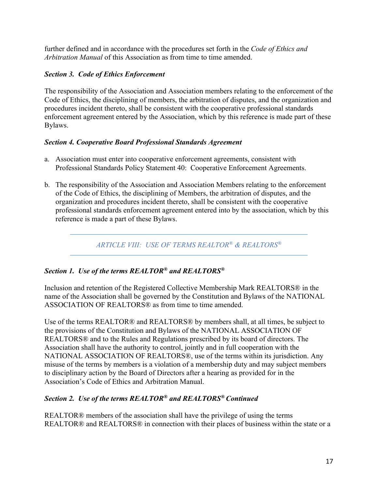further defined and in accordance with the procedures set forth in the *Code of Ethics and Arbitration Manual* of this Association as from time to time amended.

## *Section 3.**Code of Ethics Enforcement*

The responsibility of the Association and Association members relating to the enforcement of the Code of Ethics, the disciplining of members, the arbitration of disputes, and the organization and procedures incident thereto, shall be consistent with the cooperative professional standards enforcement agreement entered by the Association, which by this reference is made part of these Bylaws.

### *Section 4. Cooperative Board Professional Standards Agreement*

- a. Association must enter into cooperative enforcement agreements, consistent with Professional Standards Policy Statement 40: Cooperative Enforcement Agreements.
- b. The responsibility of the Association and Association Members relating to the enforcement of the Code of Ethics, the disciplining of Members, the arbitration of disputes, and the organization and procedures incident thereto, shall be consistent with the cooperative professional standards enforcement agreement entered into by the association, which by this reference is made a part of these Bylaws.

*ARTICLE VIII: USE OF TERMS REALTOR® & REALTORS®*

## *Section 1. Use of the terms REALTOR® and REALTORS®*

Inclusion and retention of the Registered Collective Membership Mark REALTORS® in the name of the Association shall be governed by the Constitution and Bylaws of the NATIONAL ASSOCIATION OF REALTORS® as from time to time amended.

Use of the terms REALTOR® and REALTORS® by members shall, at all times, be subject to the provisions of the Constitution and Bylaws of the NATIONAL ASSOCIATION OF REALTORS® and to the Rules and Regulations prescribed by its board of directors. The Association shall have the authority to control, jointly and in full cooperation with the NATIONAL ASSOCIATION OF REALTORS®, use of the terms within its jurisdiction. Any misuse of the terms by members is a violation of a membership duty and may subject members to disciplinary action by the Board of Directors after a hearing as provided for in the Association's Code of Ethics and Arbitration Manual.

## *Section 2. Use of the terms REALTOR® and REALTORS® Continued*

REALTOR® members of the association shall have the privilege of using the terms REALTOR® and REALTORS® in connection with their places of business within the state or a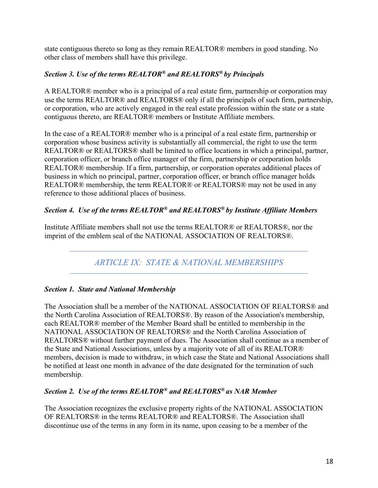state contiguous thereto so long as they remain REALTOR® members in good standing. No other class of members shall have this privilege.

# *Section 3. Use of the terms REALTOR® and REALTORS® by Principals*

A REALTOR® member who is a principal of a real estate firm, partnership or corporation may use the terms REALTOR® and REALTORS® only if all the principals of such firm, partnership, or corporation, who are actively engaged in the real estate profession within the state or a state contiguous thereto, are REALTOR® members or Institute Affiliate members.

In the case of a REALTOR® member who is a principal of a real estate firm, partnership or corporation whose business activity is substantially all commercial, the right to use the term REALTOR® or REALTORS® shall be limited to office locations in which a principal, partner, corporation officer, or branch office manager of the firm, partnership or corporation holds REALTOR® membership. If a firm, partnership, or corporation operates additional places of business in which no principal, partner, corporation officer, or branch office manager holds REALTOR® membership, the term REALTOR® or REALTORS® may not be used in any reference to those additional places of business.

## *Section 4. Use of the terms REALTOR® and REALTORS® by Institute Affiliate Members*

Institute Affiliate members shall not use the terms REALTOR® or REALTORS®, nor the imprint of the emblem seal of the NATIONAL ASSOCIATION OF REALTORS®.

*ARTICLE IX: STATE & NATIONAL MEMBERSHIPS*

## *Section 1. State and National Membership*

The Association shall be a member of the NATIONAL ASSOCIATION OF REALTORS® and the North Carolina Association of REALTORS®. By reason of the Association's membership, each REALTOR® member of the Member Board shall be entitled to membership in the NATIONAL ASSOCIATION OF REALTORS® and the North Carolina Association of REALTORS® without further payment of dues. The Association shall continue as a member of the State and National Associations, unless by a majority vote of all of its REALTOR® members, decision is made to withdraw, in which case the State and National Associations shall be notified at least one month in advance of the date designated for the termination of such membership.

### *Section 2. Use of the terms REALTOR® and REALTORS® as NAR Member*

The Association recognizes the exclusive property rights of the NATIONAL ASSOCIATION OF REALTORS® in the terms REALTOR® and REALTORS®. The Association shall discontinue use of the terms in any form in its name, upon ceasing to be a member of the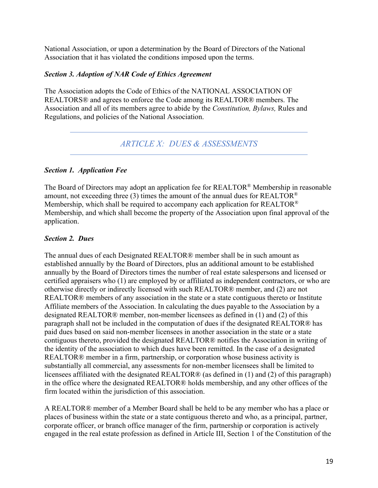National Association, or upon a determination by the Board of Directors of the National Association that it has violated the conditions imposed upon the terms.

#### *Section 3. Adoption of NAR Code of Ethics Agreement*

The Association adopts the Code of Ethics of the NATIONAL ASSOCIATION OF REALTORS® and agrees to enforce the Code among its REALTOR® members. The Association and all of its members agree to abide by the *Constitution, Bylaws,* Rules and Regulations, and policies of the National Association.

# *ARTICLE X: DUES & ASSESSMENTS*

#### *Section 1. Application Fee*

The Board of Directors may adopt an application fee for REALTOR® Membership in reasonable amount, not exceeding three (3) times the amount of the annual dues for  $REALTOR^{\circledR}$ Membership, which shall be required to accompany each application for REALTOR<sup>®</sup> Membership, and which shall become the property of the Association upon final approval of the application.

#### *Section 2. Dues*

The annual dues of each Designated REALTOR® member shall be in such amount as established annually by the Board of Directors, plus an additional amount to be established annually by the Board of Directors times the number of real estate salespersons and licensed or certified appraisers who (1) are employed by or affiliated as independent contractors, or who are otherwise directly or indirectly licensed with such REALTOR® member, and (2) are not REALTOR® members of any association in the state or a state contiguous thereto or Institute Affiliate members of the Association. In calculating the dues payable to the Association by a designated REALTOR® member, non-member licensees as defined in (1) and (2) of this paragraph shall not be included in the computation of dues if the designated REALTOR® has paid dues based on said non-member licensees in another association in the state or a state contiguous thereto, provided the designated REALTOR® notifies the Association in writing of the identity of the association to which dues have been remitted. In the case of a designated REALTOR® member in a firm, partnership, or corporation whose business activity is substantially all commercial, any assessments for non-member licensees shall be limited to licensees affiliated with the designated REALTOR® (as defined in (1) and (2) of this paragraph) in the office where the designated REALTOR® holds membership, and any other offices of the firm located within the jurisdiction of this association.

A REALTOR® member of a Member Board shall be held to be any member who has a place or places of business within the state or a state contiguous thereto and who, as a principal, partner, corporate officer, or branch office manager of the firm, partnership or corporation is actively engaged in the real estate profession as defined in Article III, Section 1 of the Constitution of the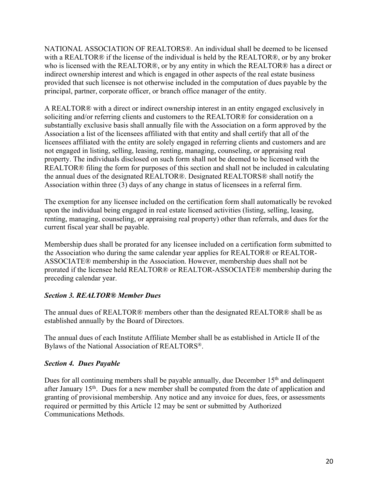NATIONAL ASSOCIATION OF REALTORS®. An individual shall be deemed to be licensed with a REALTOR® if the license of the individual is held by the REALTOR®, or by any broker who is licensed with the REALTOR®, or by any entity in which the REALTOR® has a direct or indirect ownership interest and which is engaged in other aspects of the real estate business provided that such licensee is not otherwise included in the computation of dues payable by the principal, partner, corporate officer, or branch office manager of the entity.

A REALTOR® with a direct or indirect ownership interest in an entity engaged exclusively in soliciting and/or referring clients and customers to the REALTOR® for consideration on a substantially exclusive basis shall annually file with the Association on a form approved by the Association a list of the licensees affiliated with that entity and shall certify that all of the licensees affiliated with the entity are solely engaged in referring clients and customers and are not engaged in listing, selling, leasing, renting, managing, counseling, or appraising real property. The individuals disclosed on such form shall not be deemed to be licensed with the REALTOR® filing the form for purposes of this section and shall not be included in calculating the annual dues of the designated REALTOR®. Designated REALTORS® shall notify the Association within three (3) days of any change in status of licensees in a referral firm.

The exemption for any licensee included on the certification form shall automatically be revoked upon the individual being engaged in real estate licensed activities (listing, selling, leasing, renting, managing, counseling, or appraising real property) other than referrals, and dues for the current fiscal year shall be payable.

Membership dues shall be prorated for any licensee included on a certification form submitted to the Association who during the same calendar year applies for REALTOR® or REALTOR-ASSOCIATE® membership in the Association. However, membership dues shall not be prorated if the licensee held REALTOR® or REALTOR-ASSOCIATE® membership during the preceding calendar year.

### *Section 3. REALTOR® Member Dues*

The annual dues of REALTOR® members other than the designated REALTOR® shall be as established annually by the Board of Directors.

The annual dues of each Institute Affiliate Member shall be as established in Article II of the Bylaws of the National Association of REALTORS®.

### *Section 4. Dues Payable*

Dues for all continuing members shall be payable annually, due December 15<sup>th</sup> and delinquent after January 15th. Dues for a new member shall be computed from the date of application and granting of provisional membership. Any notice and any invoice for dues, fees, or assessments required or permitted by this Article 12 may be sent or submitted by Authorized Communications Methods.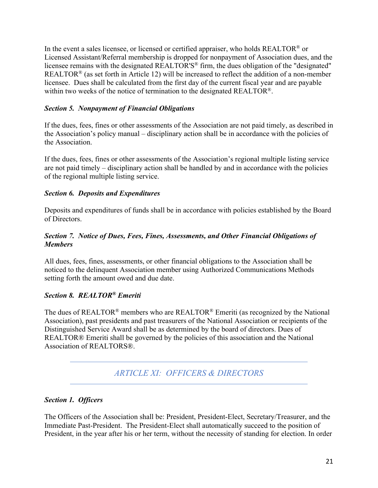In the event a sales licensee, or licensed or certified appraiser, who holds REALTOR® or Licensed Assistant/Referral membership is dropped for nonpayment of Association dues, and the licensee remains with the designated REALTOR'S® firm, the dues obligation of the "designated" REALTOR® (as set forth in Article 12) will be increased to reflect the addition of a non-member licensee. Dues shall be calculated from the first day of the current fiscal year and are payable within two weeks of the notice of termination to the designated REALTOR<sup>®</sup>.

### *Section 5. Nonpayment of Financial Obligations*

If the dues, fees, fines or other assessments of the Association are not paid timely, as described in the Association's policy manual – disciplinary action shall be in accordance with the policies of the Association.

If the dues, fees, fines or other assessments of the Association's regional multiple listing service are not paid timely – disciplinary action shall be handled by and in accordance with the policies of the regional multiple listing service.

## *Section 6. Deposits and Expenditures*

Deposits and expenditures of funds shall be in accordance with policies established by the Board of Directors.

### *Section 7. Notice of Dues, Fees, Fines, Assessments, and Other Financial Obligations of Members*

All dues, fees, fines, assessments, or other financial obligations to the Association shall be noticed to the delinquent Association member using Authorized Communications Methods setting forth the amount owed and due date.

## *Section 8.**REALTOR® Emeriti*

The dues of REALTOR® members who are REALTOR® Emeriti (as recognized by the National Association), past presidents and past treasurers of the National Association or recipients of the Distinguished Service Award shall be as determined by the board of directors. Dues of REALTOR® Emeriti shall be governed by the policies of this association and the National Association of REALTORS®.

# *ARTICLE XI: OFFICERS & DIRECTORS*

## *Section 1. Officers*

The Officers of the Association shall be: President, President-Elect, Secretary/Treasurer, and the Immediate Past-President. The President-Elect shall automatically succeed to the position of President, in the year after his or her term, without the necessity of standing for election. In order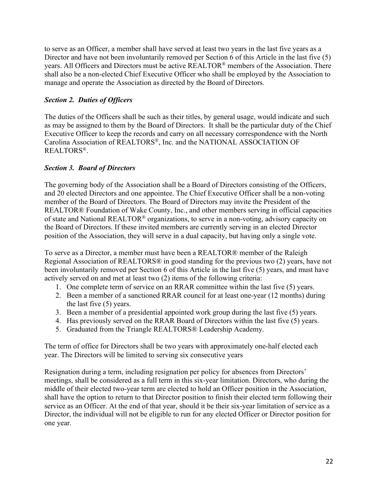to serve as an Officer, a member shall have served at least two years in the last five years as a Director and have not been involuntarily removed per Section 6 of this Article in the last five (5) years. All Officers and Directors must be active REALTOR® members of the Association. There shall also be a non-elected Chief Executive Officer who shall be employed by the Association to manage and operate the Association as directed by the Board of Directors.

## *Section 2. Duties of Officers*

The duties of the Officers shall be such as their titles, by general usage, would indicate and such as may be assigned to them by the Board of Directors. It shall be the particular duty of the Chief Executive Officer to keep the records and carry on all necessary correspondence with the North Carolina Association of REALTORS®, Inc. and the NATIONAL ASSOCIATION OF REALTORS®.

## *Section 3. Board of Directors*

The governing body of the Association shall be a Board of Directors consisting of the Officers, and 20 elected Directors and one appointee. The Chief Executive Officer shall be a non-voting member of the Board of Directors. The Board of Directors may invite the President of the REALTOR® Foundation of Wake County, Inc., and other members serving in official capacities of state and National REALTOR® organizations, to serve in a non-voting, advisory capacity on the Board of Directors. If these invited members are currently serving in an elected Director position of the Association, they will serve in a dual capacity, but having only a single vote.

To serve as a Director, a member must have been a REALTOR® member of the Raleigh Regional Association of REALTORS® in good standing for the previous two (2) years, have not been involuntarily removed per Section 6 of this Article in the last five (5) years, and must have actively served on and met at least two (2) items of the following criteria:

- 1. One complete term of service on an RRAR committee within the last five (5) years.
- 2. Been a member of a sanctioned RRAR council for at least one-year (12 months) during the last five (5) years.
- 3. Been a member of a presidential appointed work group during the last five (5) years.
- 4. Has previously served on the RRAR Board of Directors within the last five (5) years.
- 5. Graduated from the Triangle REALTORS® Leadership Academy.

The term of office for Directors shall be two years with approximately one-half elected each year. The Directors will be limited to serving six consecutive years

Resignation during a term, including resignation per policy for absences from Directors' meetings, shall be considered as a full term in this six-year limitation. Directors, who during the middle of their elected two-year term are elected to hold an Officer position in the Association, shall have the option to return to that Director position to finish their elected term following their service as an Officer. At the end of that year, should it be their six-year limitation of service as a Director, the individual will not be eligible to run for any elected Officer or Director position for one year.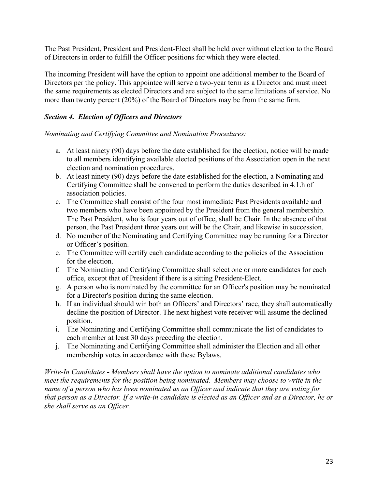The Past President, President and President-Elect shall be held over without election to the Board of Directors in order to fulfill the Officer positions for which they were elected.

The incoming President will have the option to appoint one additional member to the Board of Directors per the policy. This appointee will serve a two-year term as a Director and must meet the same requirements as elected Directors and are subject to the same limitations of service. No more than twenty percent (20%) of the Board of Directors may be from the same firm.

### *Section 4. Election of Officers and Directors*

*Nominating and Certifying Committee and Nomination Procedures:*

- a. At least ninety (90) days before the date established for the election, notice will be made to all members identifying available elected positions of the Association open in the next election and nomination procedures.
- b. At least ninety (90) days before the date established for the election, a Nominating and Certifying Committee shall be convened to perform the duties described in 4.1.h of association policies.
- c. The Committee shall consist of the four most immediate Past Presidents available and two members who have been appointed by the President from the general membership. The Past President, who is four years out of office, shall be Chair. In the absence of that person, the Past President three years out will be the Chair, and likewise in succession.
- d. No member of the Nominating and Certifying Committee may be running for a Director or Officer's position.
- e. The Committee will certify each candidate according to the policies of the Association for the election.
- f. The Nominating and Certifying Committee shall select one or more candidates for each office, except that of President if there is a sitting President-Elect.
- g. A person who is nominated by the committee for an Officer's position may be nominated for a Director's position during the same election.
- h. If an individual should win both an Officers' and Directors' race, they shall automatically decline the position of Director. The next highest vote receiver will assume the declined position.
- i. The Nominating and Certifying Committee shall communicate the list of candidates to each member at least 30 days preceding the election.
- j. The Nominating and Certifying Committee shall administer the Election and all other membership votes in accordance with these Bylaws.

*Write-In Candidates - Members shall have the option to nominate additional candidates who meet the requirements for the position being nominated. Members may choose to write in the name of a person who has been nominated as an Officer and indicate that they are voting for that person as a Director. If a write-in candidate is elected as an Officer and as a Director, he or she shall serve as an Officer.*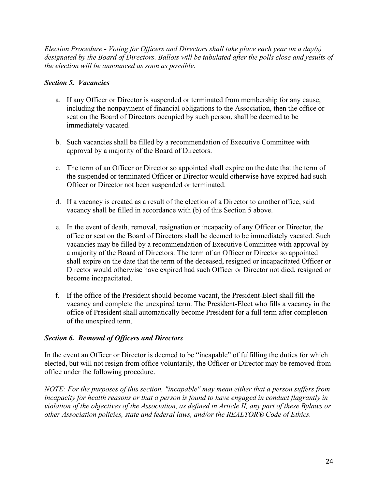*Election Procedure - Voting for Officers and Directors shall take place each year on a day(s) designated by the Board of Directors. Ballots will be tabulated after the polls close and results of the election will be announced as soon as possible.*

### *Section 5. Vacancies*

- a. If any Officer or Director is suspended or terminated from membership for any cause, including the nonpayment of financial obligations to the Association, then the office or seat on the Board of Directors occupied by such person, shall be deemed to be immediately vacated.
- b. Such vacancies shall be filled by a recommendation of Executive Committee with approval by a majority of the Board of Directors.
- c. The term of an Officer or Director so appointed shall expire on the date that the term of the suspended or terminated Officer or Director would otherwise have expired had such Officer or Director not been suspended or terminated.
- d. If a vacancy is created as a result of the election of a Director to another office, said vacancy shall be filled in accordance with (b) of this Section 5 above.
- e. In the event of death, removal, resignation or incapacity of any Officer or Director, the office or seat on the Board of Directors shall be deemed to be immediately vacated. Such vacancies may be filled by a recommendation of Executive Committee with approval by a majority of the Board of Directors. The term of an Officer or Director so appointed shall expire on the date that the term of the deceased, resigned or incapacitated Officer or Director would otherwise have expired had such Officer or Director not died, resigned or become incapacitated.
- f. If the office of the President should become vacant, the President-Elect shall fill the vacancy and complete the unexpired term. The President-Elect who fills a vacancy in the office of President shall automatically become President for a full term after completion of the unexpired term.

## *Section 6. Removal of Officers and Directors*

In the event an Officer or Director is deemed to be "incapable" of fulfilling the duties for which elected, but will not resign from office voluntarily, the Officer or Director may be removed from office under the following procedure.

*NOTE: For the purposes of this section, "incapable" may mean either that a person suffers from incapacity for health reasons or that a person is found to have engaged in conduct flagrantly in violation of the objectives of the Association, as defined in Article II, any part of these Bylaws or other Association policies, state and federal laws, and/or the REALTOR® Code of Ethics.*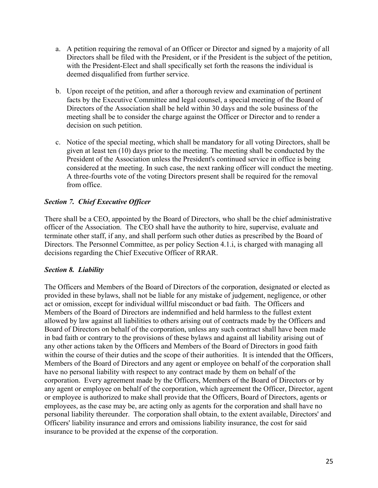- a. A petition requiring the removal of an Officer or Director and signed by a majority of all Directors shall be filed with the President, or if the President is the subject of the petition, with the President-Elect and shall specifically set forth the reasons the individual is deemed disqualified from further service.
- b. Upon receipt of the petition, and after a thorough review and examination of pertinent facts by the Executive Committee and legal counsel, a special meeting of the Board of Directors of the Association shall be held within 30 days and the sole business of the meeting shall be to consider the charge against the Officer or Director and to render a decision on such petition.
- c. Notice of the special meeting, which shall be mandatory for all voting Directors, shall be given at least ten (10) days prior to the meeting. The meeting shall be conducted by the President of the Association unless the President's continued service in office is being considered at the meeting. In such case, the next ranking officer will conduct the meeting. A three-fourths vote of the voting Directors present shall be required for the removal from office.

## *Section 7. Chief Executive Officer*

There shall be a CEO, appointed by the Board of Directors, who shall be the chief administrative officer of the Association. The CEO shall have the authority to hire, supervise, evaluate and terminate other staff, if any, and shall perform such other duties as prescribed by the Board of Directors. The Personnel Committee, as per policy Section 4.1.i, is charged with managing all decisions regarding the Chief Executive Officer of RRAR.

### *Section 8. Liability*

The Officers and Members of the Board of Directors of the corporation, designated or elected as provided in these bylaws, shall not be liable for any mistake of judgement, negligence, or other act or omission, except for individual willful misconduct or bad faith. The Officers and Members of the Board of Directors are indemnified and held harmless to the fullest extent allowed by law against all liabilities to others arising out of contracts made by the Officers and Board of Directors on behalf of the corporation, unless any such contract shall have been made in bad faith or contrary to the provisions of these bylaws and against all liability arising out of any other actions taken by the Officers and Members of the Board of Directors in good faith within the course of their duties and the scope of their authorities. It is intended that the Officers, Members of the Board of Directors and any agent or employee on behalf of the corporation shall have no personal liability with respect to any contract made by them on behalf of the corporation. Every agreement made by the Officers, Members of the Board of Directors or by any agent or employee on behalf of the corporation, which agreement the Officer, Director, agent or employee is authorized to make shall provide that the Officers, Board of Directors, agents or employees, as the case may be, are acting only as agents for the corporation and shall have no personal liability thereunder. The corporation shall obtain, to the extent available, Directors' and Officers' liability insurance and errors and omissions liability insurance, the cost for said insurance to be provided at the expense of the corporation.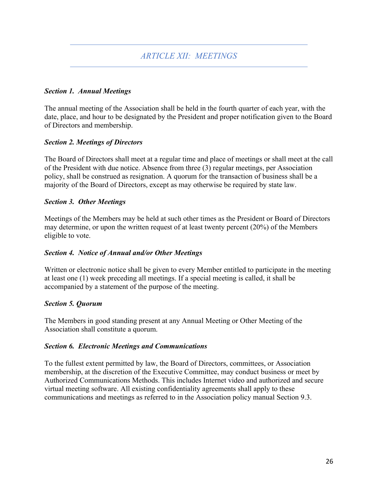## *Section 1. Annual Meetings*

The annual meeting of the Association shall be held in the fourth quarter of each year, with the date, place, and hour to be designated by the President and proper notification given to the Board of Directors and membership.

### *Section 2. Meetings of Directors*

The Board of Directors shall meet at a regular time and place of meetings or shall meet at the call of the President with due notice. Absence from three (3) regular meetings, per Association policy, shall be construed as resignation. A quorum for the transaction of business shall be a majority of the Board of Directors, except as may otherwise be required by state law.

### *Section 3. Other Meetings*

Meetings of the Members may be held at such other times as the President or Board of Directors may determine, or upon the written request of at least twenty percent (20%) of the Members eligible to vote.

### *Section 4. Notice of Annual and/or Other Meetings*

Written or electronic notice shall be given to every Member entitled to participate in the meeting at least one (1) week preceding all meetings. If a special meeting is called, it shall be accompanied by a statement of the purpose of the meeting.

### *Section 5. Quorum*

The Members in good standing present at any Annual Meeting or Other Meeting of the Association shall constitute a quorum.

### *Section 6. Electronic Meetings and Communications*

To the fullest extent permitted by law, the Board of Directors, committees, or Association membership, at the discretion of the Executive Committee, may conduct business or meet by Authorized Communications Methods. This includes Internet video and authorized and secure virtual meeting software. All existing confidentiality agreements shall apply to these communications and meetings as referred to in the Association policy manual Section 9.3.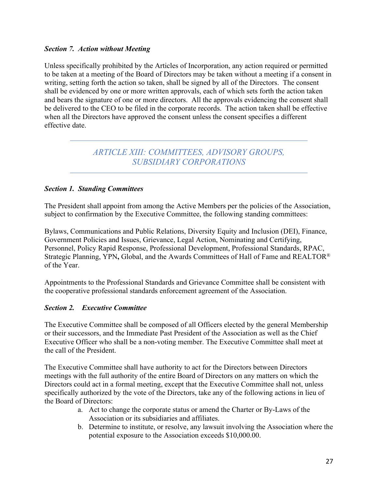### *Section 7. Action without Meeting*

Unless specifically prohibited by the Articles of Incorporation, any action required or permitted to be taken at a meeting of the Board of Directors may be taken without a meeting if a consent in writing, setting forth the action so taken, shall be signed by all of the Directors. The consent shall be evidenced by one or more written approvals, each of which sets forth the action taken and bears the signature of one or more directors. All the approvals evidencing the consent shall be delivered to the CEO to be filed in the corporate records. The action taken shall be effective when all the Directors have approved the consent unless the consent specifies a different effective date.

# *ARTICLE XIII: COMMITTEES, ADVISORY GROUPS, SUBSIDIARY CORPORATIONS*

#### *Section 1. Standing Committees*

The President shall appoint from among the Active Members per the policies of the Association, subject to confirmation by the Executive Committee, the following standing committees:

Bylaws, Communications and Public Relations, Diversity Equity and Inclusion (DEI), Finance, Government Policies and Issues, Grievance, Legal Action, Nominating and Certifying, Personnel, Policy Rapid Response, Professional Development, Professional Standards, RPAC, Strategic Planning, YPN**,** Global, and the Awards Committees of Hall of Fame and REALTOR® of the Year.

Appointments to the Professional Standards and Grievance Committee shall be consistent with the cooperative professional standards enforcement agreement of the Association.

#### *Section 2. Executive Committee*

The Executive Committee shall be composed of all Officers elected by the general Membership or their successors, and the Immediate Past President of the Association as well as the Chief Executive Officer who shall be a non-voting member. The Executive Committee shall meet at the call of the President.

The Executive Committee shall have authority to act for the Directors between Directors meetings with the full authority of the entire Board of Directors on any matters on which the Directors could act in a formal meeting, except that the Executive Committee shall not, unless specifically authorized by the vote of the Directors, take any of the following actions in lieu of the Board of Directors:

- a. Act to change the corporate status or amend the Charter or By-Laws of the Association or its subsidiaries and affiliates.
- b. Determine to institute, or resolve, any lawsuit involving the Association where the potential exposure to the Association exceeds \$10,000.00.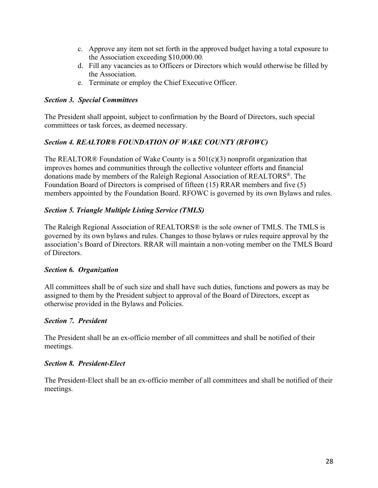- c. Approve any item not set forth in the approved budget having a total exposure to the Association exceeding \$10,000.00.
- d. Fill any vacancies as to Officers or Directors which would otherwise be filled by the Association.
- e. Terminate or employ the Chief Executive Officer.

### *Section 3. Special Committees*

The President shall appoint, subject to confirmation by the Board of Directors, such special committees or task forces, as deemed necessary.

## *Section 4. REALTOR® FOUNDATION OF WAKE COUNTY (RFOWC)*

The REALTOR® Foundation of Wake County is a 501(c)(3) nonprofit organization that improves homes and communities through the collective volunteer efforts and financial donations made by members of the Raleigh Regional Association of REALTORS®. The Foundation Board of Directors is comprised of fifteen (15) RRAR members and five (5) members appointed by the Foundation Board. RFOWC is governed by its own Bylaws and rules.

## *Section 5. Triangle Multiple Listing Service (TMLS)*

The Raleigh Regional Association of REALTORS® is the sole owner of TMLS. The TMLS is governed by its own bylaws and rules. Changes to those bylaws or rules require approval by the association's Board of Directors. RRAR will maintain a non-voting member on the TMLS Board of Directors.

### *Section 6. Organization*

All committees shall be of such size and shall have such duties, functions and powers as may be assigned to them by the President subject to approval of the Board of Directors, except as otherwise provided in the Bylaws and Policies.

### *Section 7. President*

The President shall be an ex-officio member of all committees and shall be notified of their meetings.

### *Section 8. President-Elect*

The President-Elect shall be an ex-officio member of all committees and shall be notified of their meetings.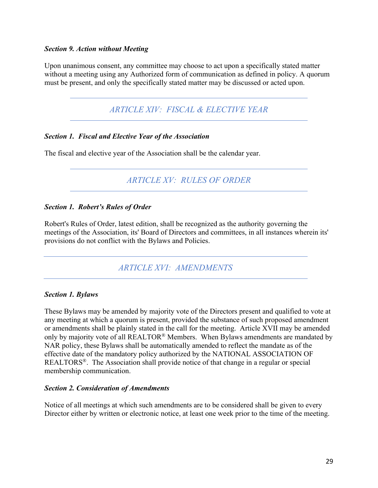#### *Section 9. Action without Meeting*

Upon unanimous consent, any committee may choose to act upon a specifically stated matter without a meeting using any Authorized form of communication as defined in policy. A quorum must be present, and only the specifically stated matter may be discussed or acted upon.

*ARTICLE XIV: FISCAL & ELECTIVE YEAR*

### *Section 1. Fiscal and Elective Year of the Association*

The fiscal and elective year of the Association shall be the calendar year.

*ARTICLE XV: RULES OF ORDER*

### *Section 1. Robert's Rules of Order*

Robert's Rules of Order, latest edition, shall be recognized as the authority governing the meetings of the Association, its' Board of Directors and committees, in all instances wherein its' provisions do not conflict with the Bylaws and Policies.

*ARTICLE XVI: AMENDMENTS*

### *Section 1. Bylaws*

These Bylaws may be amended by majority vote of the Directors present and qualified to vote at any meeting at which a quorum is present, provided the substance of such proposed amendment or amendments shall be plainly stated in the call for the meeting. Article XVII may be amended only by majority vote of all REALTOR® Members. When Bylaws amendments are mandated by NAR policy, these Bylaws shall be automatically amended to reflect the mandate as of the effective date of the mandatory policy authorized by the NATIONAL ASSOCIATION OF REALTORS®. The Association shall provide notice of that change in a regular or special membership communication.

#### *Section 2. Consideration of Amendments*

Notice of all meetings at which such amendments are to be considered shall be given to every Director either by written or electronic notice, at least one week prior to the time of the meeting.